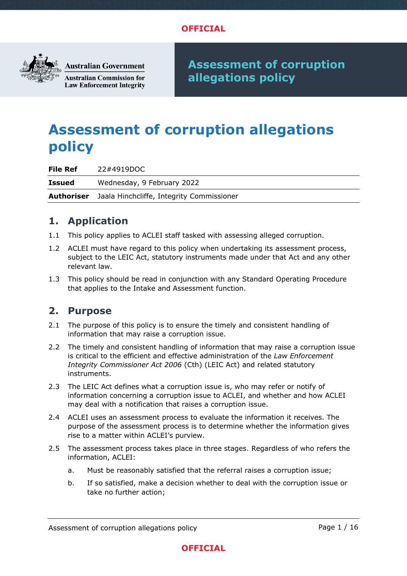

**Australian Government** 

**Australian Commission for Law Enforcement Integrity**  **Assessment of corruption allegations policy**

# **Assessment of corruption allegations policy**

**File Ref** 22#4919DOC

**Issued** Wednesday, 9 February 2022 **Authoriser** Jaala Hinchcliffe, Integrity Commissioner

## **1. Application**

- 1.1 This policy applies to ACLEI staff tasked with assessing alleged corruption.
- 1.2 ACLEI must have regard to this policy when undertaking its assessment process, subject to the LEIC Act, statutory instruments made under that Act and any other relevant law.
- 1.3 This policy should be read in conjunction with any Standard Operating Procedure that applies to the Intake and Assessment function.

## **2. Purpose**

- 2.1 The purpose of this policy is to ensure the timely and consistent handling of information that may raise a corruption issue.
- 2.2 The timely and consistent handling of information that may raise a corruption issue is critical to the efficient and effective administration of the *Law Enforcement Integrity Commissioner Act 2006* (Cth) (LEIC Act) and related statutory instruments.
- 2.3 The LEIC Act defines what a corruption issue is, who may refer or notify of information concerning a corruption issue to ACLEI, and whether and how ACLEI may deal with a notification that raises a corruption issue.
- 2.4 ACLEI uses an assessment process to evaluate the information it receives. The purpose of the assessment process is to determine whether the information gives rise to a matter within ACLEI's purview.
- 2.5 The assessment process takes place in three stages. Regardless of who refers the information, ACLEI:
	- a. Must be reasonably satisfied that the referral raises a corruption issue;
	- b. If so satisfied, make a decision whether to deal with the corruption issue or take no further action;



Assessment of corruption allegations policy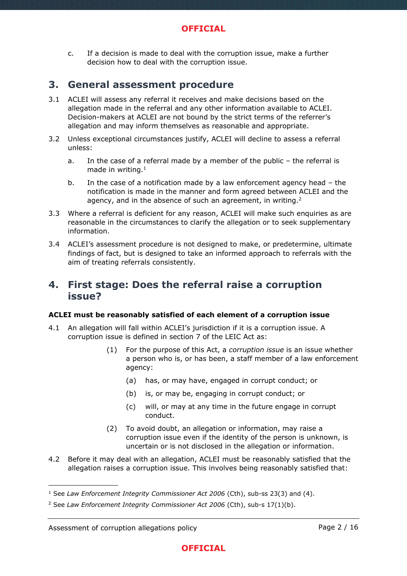c. If a decision is made to deal with the corruption issue, make a further decision how to deal with the corruption issue.

## **3. General assessment procedure**

- 3.1 ACLEI will assess any referral it receives and make decisions based on the allegation made in the referral and any other information available to ACLEI. Decision-makers at ACLEI are not bound by the strict terms of the referrer's allegation and may inform themselves as reasonable and appropriate.
- 3.2 Unless exceptional circumstances justify, ACLEI will decline to assess a referral unless:
	- a. In the case of a referral made by a member of the public the referral is made in writing. $1$
	- b. In the case of a notification made by a law enforcement agency head the notification is made in the manner and form agreed between ACLEI and the agency, and in the absence of such an agreement, in writing. $2$
- 3.3 Where a referral is deficient for any reason, ACLEI will make such enquiries as are reasonable in the circumstances to clarify the allegation or to seek supplementary information.
- 3.4 ACLEI's assessment procedure is not designed to make, or predetermine, ultimate findings of fact, but is designed to take an informed approach to referrals with the aim of treating referrals consistently.

## **4. First stage: Does the referral raise a corruption issue?**

### **ACLEI must be reasonably satisfied of each element of a corruption issue**

- 4.1 An allegation will fall within ACLEI's jurisdiction if it is a corruption issue. A corruption issue is defined in section 7 of the LEIC Act as:
	- (1) For the purpose of this Act, a *corruption issue* is an issue whether a person who is, or has been, a staff member of a law enforcement agency:
		- (a) has, or may have, engaged in corrupt conduct; or
		- (b) is, or may be, engaging in corrupt conduct; or
		- (c) will, or may at any time in the future engage in corrupt conduct.
	- (2) To avoid doubt, an allegation or information, may raise a corruption issue even if the identity of the person is unknown, is uncertain or is not disclosed in the allegation or information.
- 4.2 Before it may deal with an allegation, ACLEI must be reasonably satisfied that the allegation raises a corruption issue. This involves being reasonably satisfied that:

<sup>1</sup> See *Law Enforcement Integrity Commissioner Act 2006* (Cth), sub-ss 23(3) and (4).

<sup>2</sup> See *Law Enforcement Integrity Commissioner Act 2006* (Cth), sub-s 17(1)(b).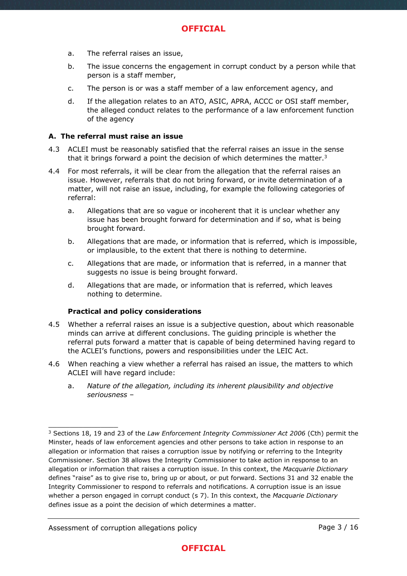- a. The referral raises an issue,
- b. The issue concerns the engagement in corrupt conduct by a person while that person is a staff member,
- c. The person is or was a staff member of a law enforcement agency, and
- d. If the allegation relates to an ATO, ASIC, APRA, ACCC or OSI staff member, the alleged conduct relates to the performance of a law enforcement function of the agency

#### **A. The referral must raise an issue**

- 4.3 ACLEI must be reasonably satisfied that the referral raises an issue in the sense that it brings forward a point the decision of which determines the matter.<sup>3</sup>
- <span id="page-2-0"></span>4.4 For most referrals, it will be clear from the allegation that the referral raises an issue. However, referrals that do not bring forward, or invite determination of a matter, will not raise an issue, including, for example the following categories of referral:
	- a. Allegations that are so vague or incoherent that it is unclear whether any issue has been brought forward for determination and if so, what is being brought forward.
	- b. Allegations that are made, or information that is referred, which is impossible, or implausible, to the extent that there is nothing to determine.
	- c. Allegations that are made, or information that is referred, in a manner that suggests no issue is being brought forward.
	- d. Allegations that are made, or information that is referred, which leaves nothing to determine.

#### **Practical and policy considerations**

- 4.5 Whether a referral raises an issue is a subjective question, about which reasonable minds can arrive at different conclusions. The guiding principle is whether the referral puts forward a matter that is capable of being determined having regard to the ACLEI's functions, powers and responsibilities under the LEIC Act.
- 4.6 When reaching a view whether a referral has raised an issue, the matters to which ACLEI will have regard include:
	- a. *Nature of the allegation, including its inherent plausibility and objective seriousness* –

\_\_\_\_\_\_\_\_\_\_\_\_\_\_\_\_

## **OFFICIAL**

<sup>3</sup> Sections 18, 19 and 23 of the *Law Enforcement Integrity Commissioner Act 2006* (Cth) permit the Minster, heads of law enforcement agencies and other persons to take action in response to an allegation or information that raises a corruption issue by notifying or referring to the Integrity Commissioner. Section 38 allows the Integrity Commissioner to take action in response to an allegation or information that raises a corruption issue. In this context, the *Macquarie Dictionary*  defines "raise" as to give rise to, bring up or about, or put forward. Sections 31 and 32 enable the Integrity Commissioner to respond to referrals and notifications. A corruption issue is an issue whether a person engaged in corrupt conduct (s 7). In this context, the *Macquarie Dictionary*  defines issue as a point the decision of which determines a matter.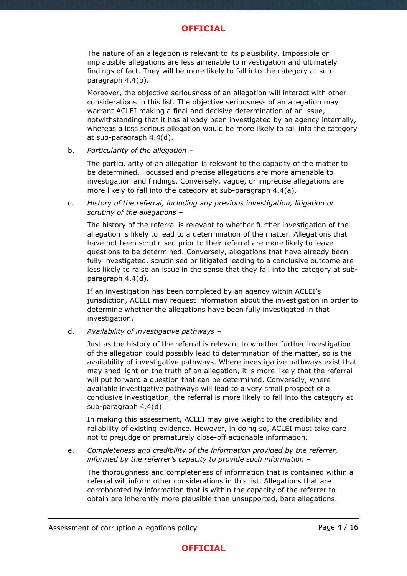The nature of an allegation is relevant to its plausibility. Impossible or implausible allegations are less amenable to investigation and ultimately findings of fact. They will be more likely to fall into the category at subparagraph [4.4\(](#page-2-0)b).

Moreover, the objective seriousness of an allegation will interact with other considerations in this list. The objective seriousness of an allegation may warrant ACLEI making a final and decisive determination of an issue, notwithstanding that it has already been investigated by an agency internally, whereas a less serious allegation would be more likely to fall into the category at sub-paragraph [4.4\(](#page-2-0)d).

b. *Particularity of the allegation* –

The particularity of an allegation is relevant to the capacity of the matter to be determined. Focussed and precise allegations are more amenable to investigation and findings. Conversely, vague, or imprecise allegations are more likely to fall into the category at sub-paragraph [4.4\(](#page-2-0)a).

c. *History of the referral, including any previous investigation, litigation or scrutiny of the allegations* –

The history of the referral is relevant to whether further investigation of the allegation is likely to lead to a determination of the matter. Allegations that have not been scrutinised prior to their referral are more likely to leave questions to be determined. Conversely, allegations that have already been fully investigated, scrutinised or litigated leading to a conclusive outcome are less likely to raise an issue in the sense that they fall into the category at subparagraph [4.4\(](#page-2-0)d).

If an investigation has been completed by an agency within ACLEI's jurisdiction, ACLEI may request information about the investigation in order to determine whether the allegations have been fully investigated in that investigation.

d. *Availability of investigative pathways* –

Just as the history of the referral is relevant to whether further investigation of the allegation could possibly lead to determination of the matter, so is the availability of investigative pathways. Where investigative pathways exist that may shed light on the truth of an allegation, it is more likely that the referral will put forward a question that can be determined. Conversely, where available investigative pathways will lead to a very small prospect of a conclusive investigation, the referral is more likely to fall into the category at sub-paragraph [4.4\(](#page-2-0)d).

In making this assessment, ACLEI may give weight to the credibility and reliability of existing evidence. However, in doing so, ACLEI must take care not to prejudge or prematurely close-off actionable information.

e. *Completeness and credibility of the information provided by the referrer, informed by the referrer's capacity to provide such information* –

The thoroughness and completeness of information that is contained within a referral will inform other considerations in this list. Allegations that are corroborated by information that is within the capacity of the referrer to obtain are inherently more plausible than unsupported, bare allegations.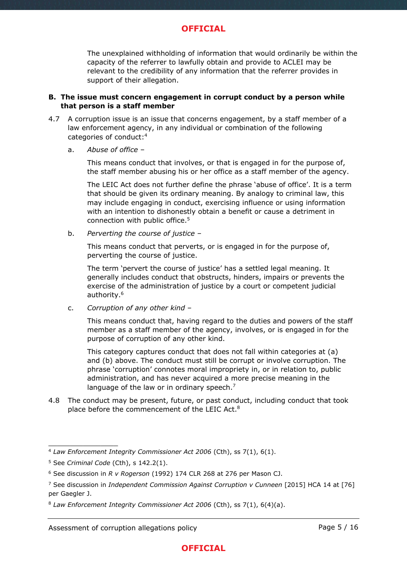The unexplained withholding of information that would ordinarily be within the capacity of the referrer to lawfully obtain and provide to ACLEI may be relevant to the credibility of any information that the referrer provides in support of their allegation.

#### **B. The issue must concern engagement in corrupt conduct by a person while that person is a staff member**

- <span id="page-4-0"></span>4.7 A corruption issue is an issue that concerns engagement, by a staff member of a law enforcement agency, in any individual or combination of the following categories of conduct:<sup>4</sup>
	- a. *Abuse of office* –

This means conduct that involves, or that is engaged in for the purpose of, the staff member abusing his or her office as a staff member of the agency.

The LEIC Act does not further define the phrase 'abuse of office'. It is a term that should be given its ordinary meaning. By analogy to criminal law, this may include engaging in conduct, exercising influence or using information with an intention to dishonestly obtain a benefit or cause a detriment in connection with public office.<sup>5</sup>

b. *Perverting the course of justice* –

This means conduct that perverts, or is engaged in for the purpose of, perverting the course of justice.

The term 'pervert the course of justice' has a settled legal meaning. It generally includes conduct that obstructs, hinders, impairs or prevents the exercise of the administration of justice by a court or competent judicial authority.<sup>6</sup>

c. *Corruption of any other kind* –

This means conduct that, having regard to the duties and powers of the staff member as a staff member of the agency, involves, or is engaged in for the purpose of corruption of any other kind.

This category captures conduct that does not fall within categories at (a) and (b) above. The conduct must still be corrupt or involve corruption. The phrase 'corruption' connotes moral impropriety in, or in relation to, public administration, and has never acquired a more precise meaning in the language of the law or in ordinary speech.<sup>7</sup>

4.8 The conduct may be present, future, or past conduct, including conduct that took place before the commencement of the LEIC Act.<sup>8</sup>

<sup>4</sup> *Law Enforcement Integrity Commissioner Act 2006* (Cth), ss 7(1), 6(1).

<sup>5</sup> See *Criminal Code* (Cth), s 142.2(1).

<sup>6</sup> See discussion in *R v Rogerson* (1992) 174 CLR 268 at 276 per Mason CJ.

<sup>7</sup> See discussion in *Independent Commission Against Corruption v Cunneen* [2015] HCA 14 at [76] per Gaegler J.

<sup>8</sup> *Law Enforcement Integrity Commissioner Act 2006* (Cth), ss 7(1), 6(4)(a).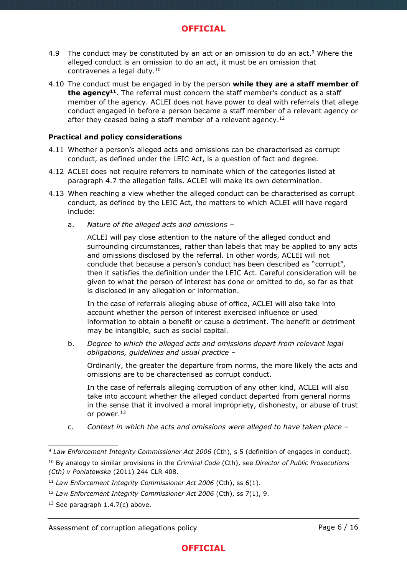- 4.9 The conduct may be constituted by an act or an omission to do an act.<sup>9</sup> Where the alleged conduct is an omission to do an act, it must be an omission that contravenes a legal duty.<sup>10</sup>
- 4.10 The conduct must be engaged in by the person **while they are a staff member of the agency<sup>11</sup>** . The referral must concern the staff member's conduct as a staff member of the agency. ACLEI does not have power to deal with referrals that allege conduct engaged in before a person became a staff member of a relevant agency or after they ceased being a staff member of a relevant agency.<sup>12</sup>

#### **Practical and policy considerations**

- 4.11 Whether a person's alleged acts and omissions can be characterised as corrupt conduct, as defined under the LEIC Act, is a question of fact and degree.
- 4.12 ACLEI does not require referrers to nominate which of the categories listed at paragraph [4.7](#page-4-0) the allegation falls. ACLEI will make its own determination.
- 4.13 When reaching a view whether the alleged conduct can be characterised as corrupt conduct, as defined by the LEIC Act, the matters to which ACLEI will have regard include:
	- a. *Nature of the alleged acts and omissions* –

ACLEI will pay close attention to the nature of the alleged conduct and surrounding circumstances, rather than labels that may be applied to any acts and omissions disclosed by the referral. In other words, ACLEI will not conclude that because a person's conduct has been described as "corrupt", then it satisfies the definition under the LEIC Act. Careful consideration will be given to what the person of interest has done or omitted to do, so far as that is disclosed in any allegation or information.

In the case of referrals alleging abuse of office, ACLEI will also take into account whether the person of interest exercised influence or used information to obtain a benefit or cause a detriment. The benefit or detriment may be intangible, such as social capital.

b. *Degree to which the alleged acts and omissions depart from relevant legal obligations, guidelines and usual practice* –

Ordinarily, the greater the departure from norms, the more likely the acts and omissions are to be characterised as corrupt conduct.

In the case of referrals alleging corruption of any other kind, ACLEI will also take into account whether the alleged conduct departed from general norms in the sense that it involved a moral impropriety, dishonesty, or abuse of trust or power.<sup>13</sup>

c. *Context in which the acts and omissions were alleged to have taken place* –

<sup>9</sup> *Law Enforcement Integrity Commissioner Act 2006* (Cth), s 5 (definition of engages in conduct). <sup>10</sup> By analogy to similar provisions in the *Criminal Code* (Cth), see *Director of Public Prosecutions (Cth) v Poniatowska* (2011) 244 CLR 408.

<sup>11</sup> *Law Enforcement Integrity Commissioner Act 2006* (Cth), ss 6(1).

<sup>12</sup> *Law Enforcement Integrity Commissioner Act 2006* (Cth), ss 7(1), 9.

 $13$  See paragraph [1.4.7\(](#page-4-0)c) above.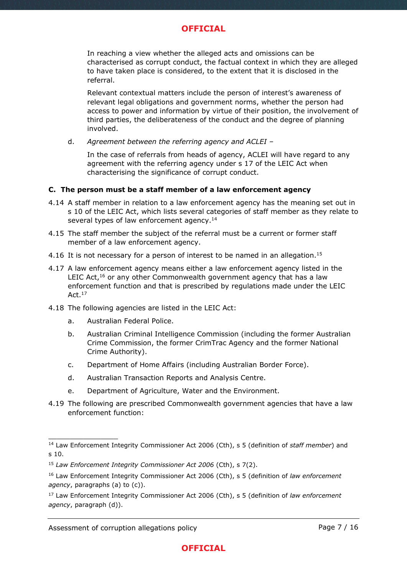In reaching a view whether the alleged acts and omissions can be characterised as corrupt conduct, the factual context in which they are alleged to have taken place is considered, to the extent that it is disclosed in the referral.

Relevant contextual matters include the person of interest's awareness of relevant legal obligations and government norms, whether the person had access to power and information by virtue of their position, the involvement of third parties, the deliberateness of the conduct and the degree of planning involved.

d. *Agreement between the referring agency and ACLEI –*

In the case of referrals from heads of agency, ACLEI will have regard to any agreement with the referring agency under s 17 of the LEIC Act when characterising the significance of corrupt conduct.

### **C. The person must be a staff member of a law enforcement agency**

- 4.14 A staff member in relation to a law enforcement agency has the meaning set out in s 10 of the LEIC Act, which lists several categories of staff member as they relate to several types of law enforcement agency.<sup>14</sup>
- 4.15 The staff member the subject of the referral must be a current or former staff member of a law enforcement agency.
- 4.16 It is not necessary for a person of interest to be named in an allegation.<sup>15</sup>
- 4.17 A law enforcement agency means either a law enforcement agency listed in the LEIC Act,<sup>16</sup> or any other Commonwealth government agency that has a law enforcement function and that is prescribed by regulations made under the LEIC Act.<sup>17</sup>
- 4.18 The following agencies are listed in the LEIC Act:
	- a. Australian Federal Police.
	- b. Australian Criminal Intelligence Commission (including the former Australian Crime Commission, the former CrimTrac Agency and the former National Crime Authority).
	- c. Department of Home Affairs (including Australian Border Force).
	- d. Australian Transaction Reports and Analysis Centre.
	- e. Department of Agriculture, Water and the Environment.
- 4.19 The following are prescribed Commonwealth government agencies that have a law enforcement function:

<sup>14</sup> Law Enforcement Integrity Commissioner Act 2006 (Cth), s 5 (definition of *staff member*) and s 10.

<sup>15</sup> *Law Enforcement Integrity Commissioner Act 2006* (Cth), s 7(2).

<sup>16</sup> Law Enforcement Integrity Commissioner Act 2006 (Cth), s 5 (definition of *law enforcement agency*, paragraphs (a) to (c)).

<sup>17</sup> Law Enforcement Integrity Commissioner Act 2006 (Cth), s 5 (definition of *law enforcement agency*, paragraph (d)).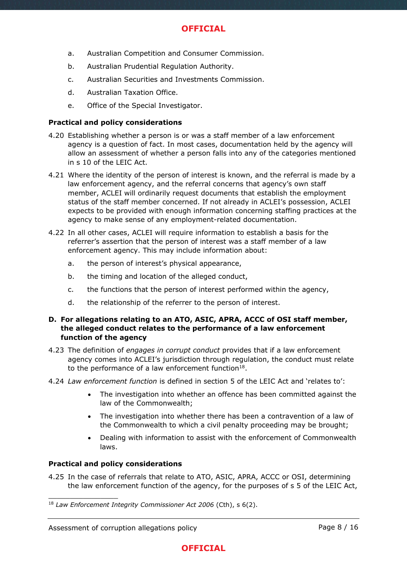- a. Australian Competition and Consumer Commission.
- b. Australian Prudential Regulation Authority.
- c. Australian Securities and Investments Commission.
- d. Australian Taxation Office.
- e. Office of the Special Investigator.

### **Practical and policy considerations**

- 4.20 Establishing whether a person is or was a staff member of a law enforcement agency is a question of fact. In most cases, documentation held by the agency will allow an assessment of whether a person falls into any of the categories mentioned in s 10 of the LEIC Act.
- 4.21 Where the identity of the person of interest is known, and the referral is made by a law enforcement agency, and the referral concerns that agency's own staff member, ACLEI will ordinarily request documents that establish the employment status of the staff member concerned. If not already in ACLEI's possession, ACLEI expects to be provided with enough information concerning staffing practices at the agency to make sense of any employment-related documentation.
- 4.22 In all other cases, ACLEI will require information to establish a basis for the referrer's assertion that the person of interest was a staff member of a law enforcement agency. This may include information about:
	- a. the person of interest's physical appearance,
	- b. the timing and location of the alleged conduct,
	- c. the functions that the person of interest performed within the agency,
	- d. the relationship of the referrer to the person of interest.

#### **D. For allegations relating to an ATO, ASIC, APRA, ACCC of OSI staff member, the alleged conduct relates to the performance of a law enforcement function of the agency**

- 4.23 The definition of *engages in corrupt conduct* provides that if a law enforcement agency comes into ACLEI's jurisdiction through regulation, the conduct must relate to the performance of a law enforcement function $^{18}$ .
- 4.24 *Law enforcement function* is defined in section 5 of the LEIC Act and 'relates to':
	- The investigation into whether an offence has been committed against the law of the Commonwealth;
	- The investigation into whether there has been a contravention of a law of the Commonwealth to which a civil penalty proceeding may be brought;
	- Dealing with information to assist with the enforcement of Commonwealth laws.

### **Practical and policy considerations**

\_\_\_\_\_\_\_\_\_\_\_\_\_\_\_\_

4.25 In the case of referrals that relate to ATO, ASIC, APRA, ACCC or OSI, determining the law enforcement function of the agency, for the purposes of s 5 of the LEIC Act,



<sup>18</sup> *Law Enforcement Integrity Commissioner Act 2006* (Cth), s 6(2).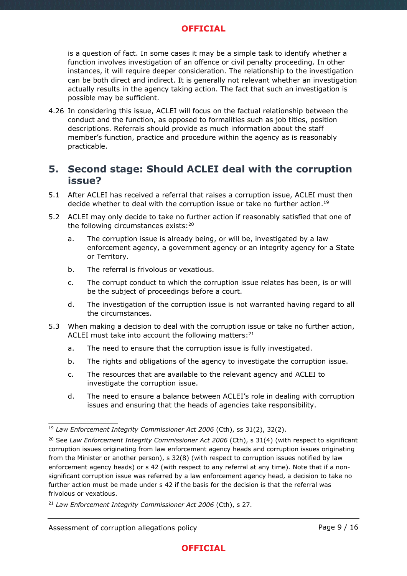is a question of fact. In some cases it may be a simple task to identify whether a function involves investigation of an offence or civil penalty proceeding. In other instances, it will require deeper consideration. The relationship to the investigation can be both direct and indirect. It is generally not relevant whether an investigation actually results in the agency taking action. The fact that such an investigation is possible may be sufficient.

4.26 In considering this issue, ACLEI will focus on the factual relationship between the conduct and the function, as opposed to formalities such as job titles, position descriptions. Referrals should provide as much information about the staff member's function, practice and procedure within the agency as is reasonably practicable.

## **5. Second stage: Should ACLEI deal with the corruption issue?**

- 5.1 After ACLEI has received a referral that raises a corruption issue, ACLEI must then decide whether to deal with the corruption issue or take no further action.<sup>19</sup>
- 5.2 ACLEI may only decide to take no further action if reasonably satisfied that one of the following circumstances exists:<sup>20</sup>
	- a. The corruption issue is already being, or will be, investigated by a law enforcement agency, a government agency or an integrity agency for a State or Territory.
	- b. The referral is frivolous or vexatious.
	- c. The corrupt conduct to which the corruption issue relates has been, is or will be the subject of proceedings before a court.
	- d. The investigation of the corruption issue is not warranted having regard to all the circumstances.
- 5.3 When making a decision to deal with the corruption issue or take no further action, ACLEI must take into account the following matters: $21$ 
	- a. The need to ensure that the corruption issue is fully investigated.
	- b. The rights and obligations of the agency to investigate the corruption issue.
	- c. The resources that are available to the relevant agency and ACLEI to investigate the corruption issue.
	- d. The need to ensure a balance between ACLEI's role in dealing with corruption issues and ensuring that the heads of agencies take responsibility.

\_\_\_\_\_\_\_\_\_\_\_\_\_\_\_\_

## **OFFICIAL**

<sup>19</sup> *Law Enforcement Integrity Commissioner Act 2006* (Cth), ss 31(2), 32(2).

<sup>&</sup>lt;sup>20</sup> See *Law Enforcement Integrity Commissioner Act 2006* (Cth), s 31(4) (with respect to significant corruption issues originating from law enforcement agency heads and corruption issues originating from the Minister or another person), s 32(8) (with respect to corruption issues notified by law enforcement agency heads) or s 42 (with respect to any referral at any time). Note that if a nonsignificant corruption issue was referred by a law enforcement agency head, a decision to take no further action must be made under s 42 if the basis for the decision is that the referral was frivolous or vexatious.

<sup>21</sup> *Law Enforcement Integrity Commissioner Act 2006* (Cth), s 27.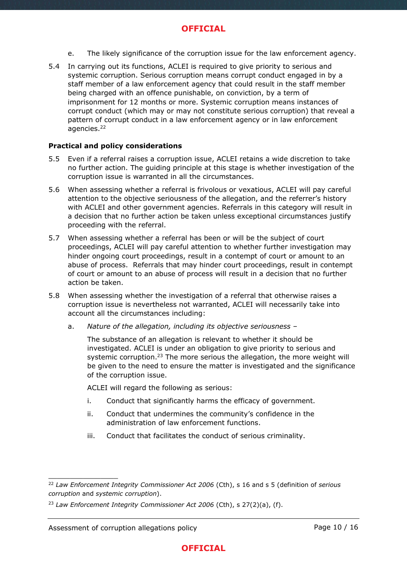- e. The likely significance of the corruption issue for the law enforcement agency.
- 5.4 In carrying out its functions, ACLEI is required to give priority to serious and systemic corruption. Serious corruption means corrupt conduct engaged in by a staff member of a law enforcement agency that could result in the staff member being charged with an offence punishable, on conviction, by a term of imprisonment for 12 months or more. Systemic corruption means instances of corrupt conduct (which may or may not constitute serious corruption) that reveal a pattern of corrupt conduct in a law enforcement agency or in law enforcement agencies.<sup>22</sup>

#### **Practical and policy considerations**

- 5.5 Even if a referral raises a corruption issue, ACLEI retains a wide discretion to take no further action. The guiding principle at this stage is whether investigation of the corruption issue is warranted in all the circumstances.
- 5.6 When assessing whether a referral is frivolous or vexatious, ACLEI will pay careful attention to the objective seriousness of the allegation, and the referrer's history with ACLEI and other government agencies. Referrals in this category will result in a decision that no further action be taken unless exceptional circumstances justify proceeding with the referral.
- 5.7 When assessing whether a referral has been or will be the subject of court proceedings, ACLEI will pay careful attention to whether further investigation may hinder ongoing court proceedings, result in a contempt of court or amount to an abuse of process. Referrals that may hinder court proceedings, result in contempt of court or amount to an abuse of process will result in a decision that no further action be taken.
- <span id="page-9-0"></span>5.8 When assessing whether the investigation of a referral that otherwise raises a corruption issue is nevertheless not warranted, ACLEI will necessarily take into account all the circumstances including:
	- a. *Nature of the allegation, including its objective seriousness* –

The substance of an allegation is relevant to whether it should be investigated. ACLEI is under an obligation to give priority to serious and systemic corruption.<sup>23</sup> The more serious the allegation, the more weight will be given to the need to ensure the matter is investigated and the significance of the corruption issue.

ACLEI will regard the following as serious:

- i. Conduct that significantly harms the efficacy of government.
- ii. Conduct that undermines the community's confidence in the administration of law enforcement functions.
- iii. Conduct that facilitates the conduct of serious criminality.

<sup>22</sup> *Law Enforcement Integrity Commissioner Act 2006* (Cth), s 16 and s 5 (definition of *serious corruption* and *systemic corruption*).

<sup>23</sup> *Law Enforcement Integrity Commissioner Act 2006* (Cth), s 27(2)(a), (f).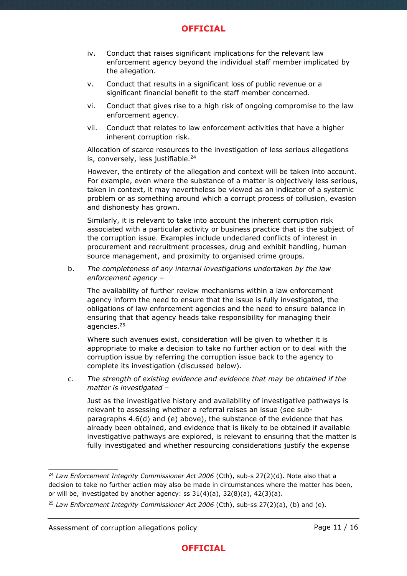- iv. Conduct that raises significant implications for the relevant law enforcement agency beyond the individual staff member implicated by the allegation.
- v. Conduct that results in a significant loss of public revenue or a significant financial benefit to the staff member concerned.
- vi. Conduct that gives rise to a high risk of ongoing compromise to the law enforcement agency.
- vii. Conduct that relates to law enforcement activities that have a higher inherent corruption risk.

Allocation of scarce resources to the investigation of less serious allegations is, conversely, less justifiable.<sup>24</sup>

However, the entirety of the allegation and context will be taken into account. For example, even where the substance of a matter is objectively less serious, taken in context, it may nevertheless be viewed as an indicator of a systemic problem or as something around which a corrupt process of collusion, evasion and dishonesty has grown.

Similarly, it is relevant to take into account the inherent corruption risk associated with a particular activity or business practice that is the subject of the corruption issue. Examples include undeclared conflicts of interest in procurement and recruitment processes, drug and exhibit handling, human source management, and proximity to organised crime groups.

b. *The completeness of any internal investigations undertaken by the law enforcement agency* –

The availability of further review mechanisms within a law enforcement agency inform the need to ensure that the issue is fully investigated, the obligations of law enforcement agencies and the need to ensure balance in ensuring that that agency heads take responsibility for managing their agencies.<sup>25</sup>

Where such avenues exist, consideration will be given to whether it is appropriate to make a decision to take no further action or to deal with the corruption issue by referring the corruption issue back to the agency to complete its investigation (discussed below).

c. *The strength of existing evidence and evidence that may be obtained if the matter is investigated* –

Just as the investigative history and availability of investigative pathways is relevant to assessing whether a referral raises an issue (see subparagraphs 4.6(d) and (e) above), the substance of the evidence that has already been obtained, and evidence that is likely to be obtained if available investigative pathways are explored, is relevant to ensuring that the matter is fully investigated and whether resourcing considerations justify the expense

<sup>&</sup>lt;sup>24</sup> Law Enforcement Integrity Commissioner Act 2006 (Cth), sub-s 27(2)(d). Note also that a decision to take no further action may also be made in circumstances where the matter has been, or will be, investigated by another agency: ss  $31(4)(a)$ ,  $32(8)(a)$ ,  $42(3)(a)$ .

<sup>25</sup> *Law Enforcement Integrity Commissioner Act 2006* (Cth), sub-ss 27(2)(a), (b) and (e).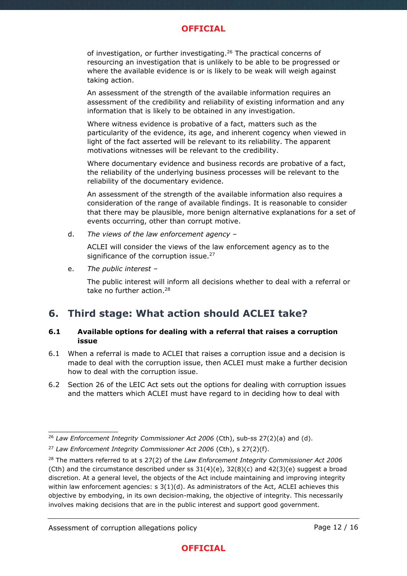of investigation, or further investigating.<sup>26</sup> The practical concerns of resourcing an investigation that is unlikely to be able to be progressed or where the available evidence is or is likely to be weak will weigh against taking action.

An assessment of the strength of the available information requires an assessment of the credibility and reliability of existing information and any information that is likely to be obtained in any investigation.

Where witness evidence is probative of a fact, matters such as the particularity of the evidence, its age, and inherent cogency when viewed in light of the fact asserted will be relevant to its reliability. The apparent motivations witnesses will be relevant to the credibility.

Where documentary evidence and business records are probative of a fact, the reliability of the underlying business processes will be relevant to the reliability of the documentary evidence.

An assessment of the strength of the available information also requires a consideration of the range of available findings. It is reasonable to consider that there may be plausible, more benign alternative explanations for a set of events occurring, other than corrupt motive.

d. *The views of the law enforcement agency* –

ACLEI will consider the views of the law enforcement agency as to the significance of the corruption issue.<sup>27</sup>

e. *The public interest* –

The public interest will inform all decisions whether to deal with a referral or take no further action.<sup>28</sup>

## **6. Third stage: What action should ACLEI take?**

### **6.1 Available options for dealing with a referral that raises a corruption issue**

- 6.1 When a referral is made to ACLEI that raises a corruption issue and a decision is made to deal with the corruption issue, then ACLEI must make a further decision how to deal with the corruption issue.
- 6.2 Section 26 of the LEIC Act sets out the options for dealing with corruption issues and the matters which ACLEI must have regard to in deciding how to deal with

<sup>26</sup> *Law Enforcement Integrity Commissioner Act 2006* (Cth), sub-ss 27(2)(a) and (d).

<sup>27</sup> *Law Enforcement Integrity Commissioner Act 2006* (Cth), s 27(2)(f).

<sup>28</sup> The matters referred to at s 27(2) of the *Law Enforcement Integrity Commissioner Act 2006* (Cth) and the circumstance described under ss  $31(4)(e)$ ,  $32(8)(c)$  and  $42(3)(e)$  suggest a broad discretion. At a general level, the objects of the Act include maintaining and improving integrity within law enforcement agencies:  $s \cdot 3(1)(d)$ . As administrators of the Act, ACLEI achieves this objective by embodying, in its own decision-making, the objective of integrity. This necessarily involves making decisions that are in the public interest and support good government.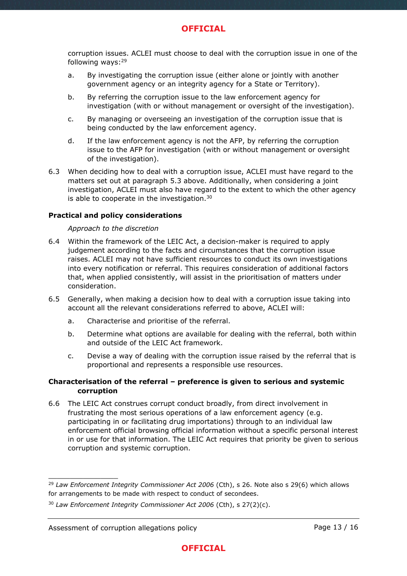corruption issues. ACLEI must choose to deal with the corruption issue in one of the following ways:<sup>29</sup>

- a. By investigating the corruption issue (either alone or jointly with another government agency or an integrity agency for a State or Territory).
- b. By referring the corruption issue to the law enforcement agency for investigation (with or without management or oversight of the investigation).
- c. By managing or overseeing an investigation of the corruption issue that is being conducted by the law enforcement agency.
- d. If the law enforcement agency is not the AFP, by referring the corruption issue to the AFP for investigation (with or without management or oversight of the investigation).
- 6.3 When deciding how to deal with a corruption issue, ACLEI must have regard to the matters set out at paragraph 5.3 above. Additionally, when considering a joint investigation, ACLEI must also have regard to the extent to which the other agency is able to cooperate in the investigation.<sup>30</sup>

#### **Practical and policy considerations**

#### *Approach to the discretion*

- 6.4 Within the framework of the LEIC Act, a decision-maker is required to apply judgement according to the facts and circumstances that the corruption issue raises. ACLEI may not have sufficient resources to conduct its own investigations into every notification or referral. This requires consideration of additional factors that, when applied consistently, will assist in the prioritisation of matters under consideration.
- 6.5 Generally, when making a decision how to deal with a corruption issue taking into account all the relevant considerations referred to above, ACLEI will:
	- a. Characterise and prioritise of the referral.
	- b. Determine what options are available for dealing with the referral, both within and outside of the LEIC Act framework.
	- c. Devise a way of dealing with the corruption issue raised by the referral that is proportional and represents a responsible use resources.

#### **Characterisation of the referral – preference is given to serious and systemic corruption**

6.6 The LEIC Act construes corrupt conduct broadly, from direct involvement in frustrating the most serious operations of a law enforcement agency (e.g. participating in or facilitating drug importations) through to an individual law enforcement official browsing official information without a specific personal interest in or use for that information. The LEIC Act requires that priority be given to serious corruption and systemic corruption.

#### Assessment of corruption allegations policy

<sup>29</sup> *Law Enforcement Integrity Commissioner Act 2006* (Cth), s 26. Note also s 29(6) which allows for arrangements to be made with respect to conduct of secondees.

<sup>30</sup> *Law Enforcement Integrity Commissioner Act 2006* (Cth), s 27(2)(c).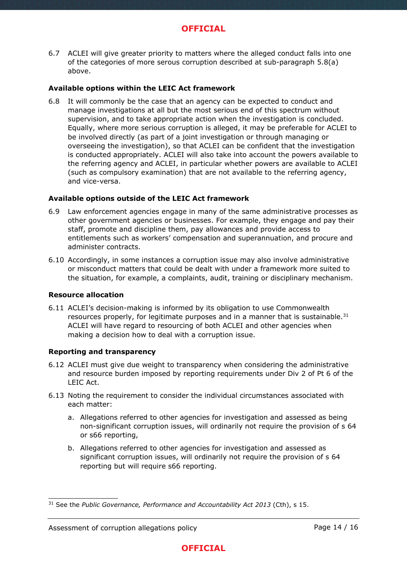6.7 ACLEI will give greater priority to matters where the alleged conduct falls into one of the categories of more serous corruption described at sub-paragraph [5.8\(](#page-9-0)a) above.

#### **Available options within the LEIC Act framework**

6.8 It will commonly be the case that an agency can be expected to conduct and manage investigations at all but the most serious end of this spectrum without supervision, and to take appropriate action when the investigation is concluded. Equally, where more serious corruption is alleged, it may be preferable for ACLEI to be involved directly (as part of a joint investigation or through managing or overseeing the investigation), so that ACLEI can be confident that the investigation is conducted appropriately. ACLEI will also take into account the powers available to the referring agency and ACLEI, in particular whether powers are available to ACLEI (such as compulsory examination) that are not available to the referring agency, and vice-versa.

#### **Available options outside of the LEIC Act framework**

- 6.9 Law enforcement agencies engage in many of the same administrative processes as other government agencies or businesses. For example, they engage and pay their staff, promote and discipline them, pay allowances and provide access to entitlements such as workers' compensation and superannuation, and procure and administer contracts.
- 6.10 Accordingly, in some instances a corruption issue may also involve administrative or misconduct matters that could be dealt with under a framework more suited to the situation, for example, a complaints, audit, training or disciplinary mechanism.

#### **Resource allocation**

\_\_\_\_\_\_\_\_\_\_\_\_\_\_\_\_

6.11 ACLEI's decision-making is informed by its obligation to use Commonwealth resources properly, for legitimate purposes and in a manner that is sustainable. $31$ ACLEI will have regard to resourcing of both ACLEI and other agencies when making a decision how to deal with a corruption issue.

#### **Reporting and transparency**

- 6.12 ACLEI must give due weight to transparency when considering the administrative and resource burden imposed by reporting requirements under Div 2 of Pt 6 of the LEIC Act.
- 6.13 Noting the requirement to consider the individual circumstances associated with each matter:
	- a. Allegations referred to other agencies for investigation and assessed as being non-significant corruption issues, will ordinarily not require the provision of s 64 or s66 reporting,
	- b. Allegations referred to other agencies for investigation and assessed as significant corruption issues, will ordinarily not require the provision of s 64 reporting but will require s66 reporting.



<sup>31</sup> See the *Public Governance, Performance and Accountability Act 2013* (Cth), s 15.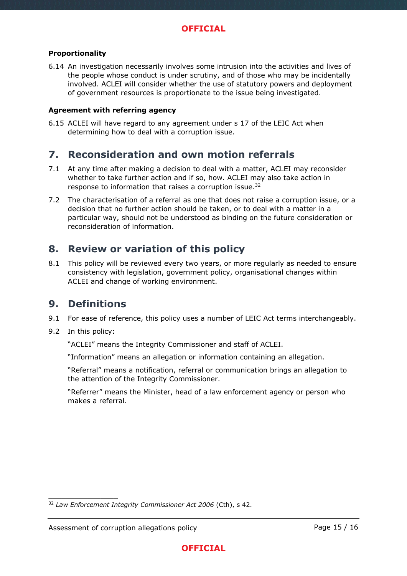### **Proportionality**

6.14 An investigation necessarily involves some intrusion into the activities and lives of the people whose conduct is under scrutiny, and of those who may be incidentally involved. ACLEI will consider whether the use of statutory powers and deployment of government resources is proportionate to the issue being investigated.

### **Agreement with referring agency**

6.15 ACLEI will have regard to any agreement under s 17 of the LEIC Act when determining how to deal with a corruption issue.

## **7. Reconsideration and own motion referrals**

- 7.1 At any time after making a decision to deal with a matter, ACLEI may reconsider whether to take further action and if so, how. ACLEI may also take action in response to information that raises a corruption issue.<sup>32</sup>
- 7.2 The characterisation of a referral as one that does not raise a corruption issue, or a decision that no further action should be taken, or to deal with a matter in a particular way, should not be understood as binding on the future consideration or reconsideration of information.

## **8. Review or variation of this policy**

8.1 This policy will be reviewed every two years, or more regularly as needed to ensure consistency with legislation, government policy, organisational changes within ACLEI and change of working environment.

## **9. Definitions**

- 9.1 For ease of reference, this policy uses a number of LEIC Act terms interchangeably.
- 9.2 In this policy:

\_\_\_\_\_\_\_\_\_\_\_\_\_\_\_\_

"ACLEI" means the Integrity Commissioner and staff of ACLEI.

"Information" means an allegation or information containing an allegation.

"Referral" means a notification, referral or communication brings an allegation to the attention of the Integrity Commissioner.

"Referrer" means the Minister, head of a law enforcement agency or person who makes a referral.

<sup>32</sup> *Law Enforcement Integrity Commissioner Act 2006* (Cth), s 42.